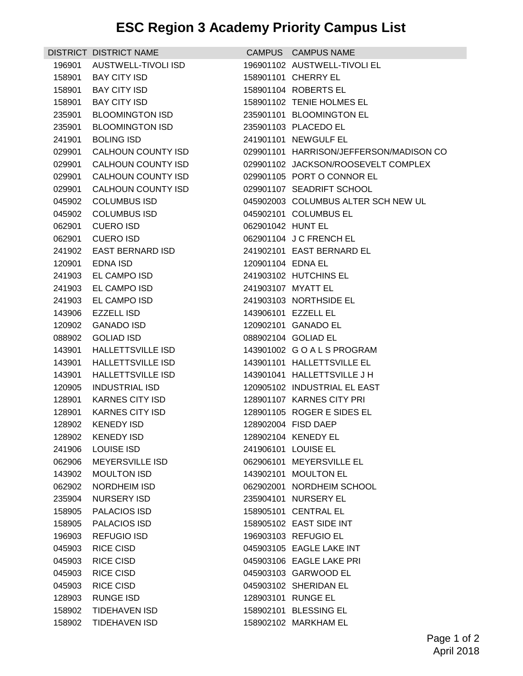## **ESC Region 3 Academy Priority Campus List**

|        | DISTRICT DISTRICT NAME    |                    | CAMPUS CAMPUS NAME                      |
|--------|---------------------------|--------------------|-----------------------------------------|
| 196901 | AUSTWELL-TIVOLI ISD       |                    | 196901102 AUSTWELL-TIVOLI EL            |
| 158901 | <b>BAY CITY ISD</b>       |                    | 158901101 CHERRY EL                     |
| 158901 | <b>BAY CITY ISD</b>       |                    | 158901104 ROBERTS EL                    |
| 158901 | <b>BAY CITY ISD</b>       |                    | 158901102 TENIE HOLMES EL               |
| 235901 | <b>BLOOMINGTON ISD</b>    |                    | 235901101 BLOOMINGTON EL                |
| 235901 | <b>BLOOMINGTON ISD</b>    |                    | 235901103 PLACEDO EL                    |
| 241901 | <b>BOLING ISD</b>         |                    | 241901101 NEWGULF EL                    |
| 029901 | <b>CALHOUN COUNTY ISD</b> |                    | 029901101 HARRISON/JEFFERSON/MADISON CO |
| 029901 | CALHOUN COUNTY ISD        |                    | 029901102 JACKSON/ROOSEVELT COMPLEX     |
| 029901 | CALHOUN COUNTY ISD        |                    | 029901105 PORT O CONNOR EL              |
| 029901 | <b>CALHOUN COUNTY ISD</b> |                    | 029901107 SEADRIFT SCHOOL               |
| 045902 | <b>COLUMBUS ISD</b>       |                    | 045902003 COLUMBUS ALTER SCH NEW UL     |
| 045902 | <b>COLUMBUS ISD</b>       |                    | 045902101 COLUMBUS EL                   |
| 062901 | <b>CUERO ISD</b>          | 062901042 HUNT EL  |                                         |
| 062901 | <b>CUERO ISD</b>          |                    | 062901104 J C FRENCH EL                 |
| 241902 | <b>EAST BERNARD ISD</b>   |                    | 241902101 EAST BERNARD EL               |
| 120901 | EDNA ISD                  | 120901104 EDNA EL  |                                         |
| 241903 | EL CAMPO ISD              |                    | 241903102 HUTCHINS EL                   |
| 241903 | EL CAMPO ISD              | 241903107 MYATT EL |                                         |
| 241903 | EL CAMPO ISD              |                    | 241903103 NORTHSIDE EL                  |
| 143906 | <b>EZZELL ISD</b>         |                    | 143906101 EZZELL EL                     |
| 120902 | <b>GANADO ISD</b>         |                    | 120902101 GANADO EL                     |
| 088902 | <b>GOLIAD ISD</b>         |                    | 088902104 GOLIAD EL                     |
| 143901 | HALLETTSVILLE ISD         |                    | 143901002 GOALSPROGRAM                  |
| 143901 | <b>HALLETTSVILLE ISD</b>  |                    | 143901101 HALLETTSVILLE EL              |
| 143901 | <b>HALLETTSVILLE ISD</b>  |                    | 143901041 HALLETTSVILLE J H             |
| 120905 | <b>INDUSTRIAL ISD</b>     |                    | 120905102 INDUSTRIAL EL EAST            |
| 128901 | <b>KARNES CITY ISD</b>    |                    | 128901107 KARNES CITY PRI               |
| 128901 | <b>KARNES CITY ISD</b>    |                    | 128901105 ROGER E SIDES EL              |
| 128902 | <b>KENEDY ISD</b>         |                    | 128902004 FISD DAEP                     |
| 128902 | KENEDY ISD                |                    | 128902104 KENEDY EL                     |
| 241906 | <b>LOUISE ISD</b>         |                    | 241906101 LOUISE EL                     |
| 062906 | <b>MEYERSVILLE ISD</b>    |                    | 062906101 MEYERSVILLE EL                |
| 143902 | <b>MOULTON ISD</b>        |                    | 143902101 MOULTON EL                    |
| 062902 | NORDHEIM ISD              |                    | 062902001 NORDHEIM SCHOOL               |
| 235904 | NURSERY ISD               |                    | 235904101 NURSERY EL                    |
| 158905 | PALACIOS ISD              |                    | 158905101 CENTRAL EL                    |
| 158905 | PALACIOS ISD              |                    | 158905102 EAST SIDE INT                 |
| 196903 | <b>REFUGIO ISD</b>        |                    | 196903103 REFUGIO EL                    |
| 045903 | <b>RICE CISD</b>          |                    | 045903105 EAGLE LAKE INT                |
| 045903 | <b>RICE CISD</b>          |                    | 045903106 EAGLE LAKE PRI                |
| 045903 | <b>RICE CISD</b>          |                    | 045903103 GARWOOD EL                    |
| 045903 | <b>RICE CISD</b>          |                    | 045903102 SHERIDAN EL                   |
| 128903 | <b>RUNGE ISD</b>          |                    | 128903101 RUNGE EL                      |
| 158902 | <b>TIDEHAVEN ISD</b>      |                    | 158902101 BLESSING EL                   |
| 158902 | <b>TIDEHAVEN ISD</b>      |                    | 158902102 MARKHAM EL                    |